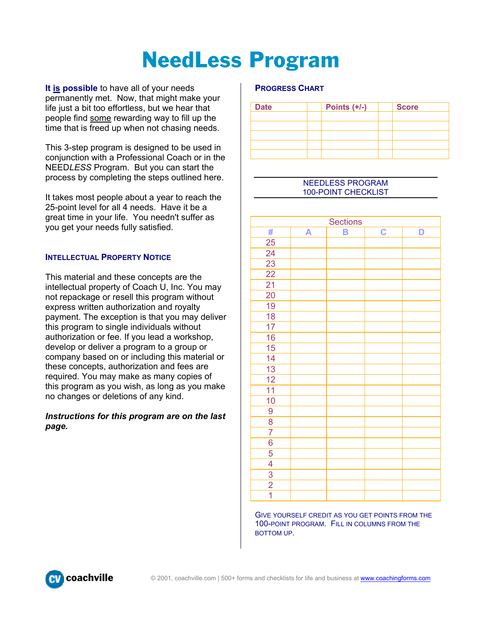# NeedLess Program

**It is possible** to have all of your needs permanently met. Now, that might make your life just a bit too effortless, but we hear that people find some rewarding way to fill up the time that is freed up when not chasing needs.

This 3-step program is designed to be used in conjunction with a Professional Coach or in the NEED*LESS* Program. But you can start the process by completing the steps outlined here.

It takes most people about a year to reach the 25-point level for all 4 needs. Have it be a great time in your life. You needn't suffer as you get your needs fully satisfied.

# **INTELLECTUAL PROPERTY NOTICE**

This material and these concepts are the intellectual property of Coach U, Inc. You may not repackage or resell this program without express written authorization and royalty payment. The exception is that you may deliver this program to single individuals without authorization or fee. If you lead a workshop, develop or deliver a program to a group or company based on or including this material or these concepts, authorization and fees are required. You may make as many copies of this program as you wish, as long as you make no changes or deletions of any kind.

# *Instructions for this program are on the last page.*

# **PROGRESS CHART**

| <b>Date</b> | Points $(+/-)$ | <b>Score</b> |
|-------------|----------------|--------------|
|             |                |              |
|             |                |              |
|             |                |              |
|             |                |              |
|             |                |              |

## NEEDLESS PROGRAM 100-POINT CHECKLIST

| <b>Sections</b> |   |   |   |   |
|-----------------|---|---|---|---|
| #               | A | B | C | D |
| 25              |   |   |   |   |
| $\overline{24}$ |   |   |   |   |
| $\overline{23}$ |   |   |   |   |
| $\overline{22}$ |   |   |   |   |
| $\overline{21}$ |   |   |   |   |
| $\overline{20}$ |   |   |   |   |
| 19              |   |   |   |   |
| 18              |   |   |   |   |
| 17              |   |   |   |   |
| 16              |   |   |   |   |
| 15              |   |   |   |   |
| 14              |   |   |   |   |
| 13              |   |   |   |   |
| 12              |   |   |   |   |
| $\overline{11}$ |   |   |   |   |
| 10              |   |   |   |   |
| 9               |   |   |   |   |
| 8               |   |   |   |   |
| $\overline{7}$  |   |   |   |   |
| $\overline{6}$  |   |   |   |   |
| $\overline{5}$  |   |   |   |   |
| $\overline{4}$  |   |   |   |   |
| $\frac{3}{2}$   |   |   |   |   |
|                 |   |   |   |   |
| $\overline{1}$  |   |   |   |   |

GIVE YOURSELF CREDIT AS YOU GET POINTS FROM THE 100-POINT PROGRAM. FILL IN COLUMNS FROM THE BOTTOM UP.

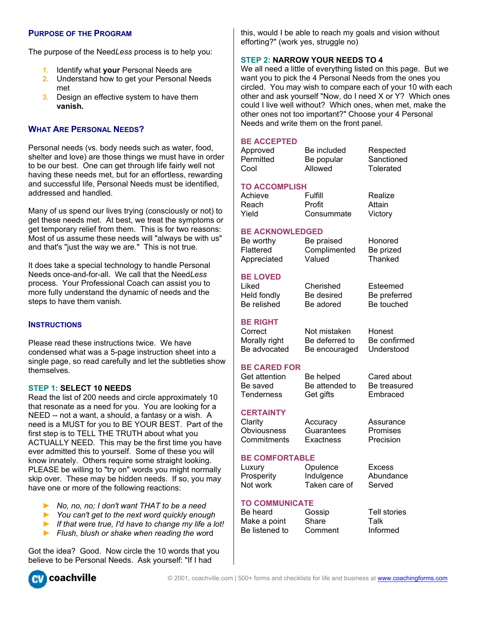## **PURPOSE OF THE PROGRAM**

The purpose of the Need*Less* process is to help you:

- **1.** Identify what **your** Personal Needs are
- **2.**  Understand how to get your Personal Needs met
- **3.**  Design an effective system to have them **vanish.**

# **WHAT ARE PERSONAL NEEDS?**

Personal needs (vs. body needs such as water, food, shelter and love) are those things we must have in order to be our best. One can get through life fairly well not having these needs met, but for an effortless, rewarding and successful life, Personal Needs must be identified, addressed and handled.

Many of us spend our lives trying (consciously or not) to get these needs met. At best, we treat the symptoms or get temporary relief from them. This is for two reasons: Most of us assume these needs will "always be with us" and that's "just the way we are." This is not true.

It does take a special technology to handle Personal Needs once-and-for-all. We call that the Need*Less*  process. Your Professional Coach can assist you to more fully understand the dynamic of needs and the steps to have them vanish.

## **INSTRUCTIONS**

Please read these instructions twice. We have condensed what was a 5-page instruction sheet into a single page, so read carefully and let the subtleties show themselves.

#### **STEP 1: SELECT 10 NEEDS**

Read the list of 200 needs and circle approximately 10 that resonate as a need for you. You are looking for a NEED -- not a want, a should, a fantasy or a wish. A need is a MUST for you to BE YOUR BEST. Part of the first step is to TELL THE TRUTH about what you ACTUALLY NEED. This may be the first time you have ever admitted this to yourself. Some of these you will know innately. Others require some straight looking. PLEASE be willing to "try on" words you might normally skip over. These may be hidden needs. If so, you may have one or more of the following reactions:

- **►** *No, no, no; I don't want THAT to be a need*
- **►** *You can't get to the next word quickly enough*
- **►** *If that were true, I'd have to change my life a lot!*
- **►** *Flush, blush or shake when reading the wo*rd

Got the idea? Good. Now circle the 10 words that you believe to be Personal Needs. Ask yourself: "If I had



this, would I be able to reach my goals and vision without efforting?" (work yes, struggle no)

## **STEP 2: NARROW YOUR NEEDS TO 4**

We all need a little of everything listed on this page. But we want you to pick the 4 Personal Needs from the ones you circled. You may wish to compare each of your 10 with each other and ask yourself "Now, do I need X or Y? Which ones could I live well without? Which ones, when met, make the other ones not too important?" Choose your 4 Personal Needs and write them on the front panel.

## **BE ACCEPTED**

| <b>BE ACCEPTED</b><br>Approved<br>Permitted<br>Cool                 | Be included<br>Be popular<br>Allowed            | Respected<br>Sanctioned<br>Tolerated    |
|---------------------------------------------------------------------|-------------------------------------------------|-----------------------------------------|
| <b>TO ACCOMPLISH</b><br>Achieve<br>Reach<br>Yield                   | Fulfill<br>Profit<br>Consummate                 | Realize<br>Attain<br>Victory            |
| <b>BE ACKNOWLEDGED</b><br>Be worthy<br>Flattered<br>Appreciated     | Be praised<br>Complimented<br>Valued            | Honored<br>Be prized<br>Thanked         |
| <b>BE LOVED</b><br>Liked<br><b>Held fondly</b><br>Be relished       | Cherished<br>Be desired<br>Be adored            | Esteemed<br>Be preferred<br>Be touched  |
| <b>BE RIGHT</b><br>Correct<br>Morally right<br>Be advocated         | Not mistaken<br>Be deferred to<br>Be encouraged | Honest<br>Be confirmed<br>Understood    |
| <b>BE CARED FOR</b><br>Get attention<br>Be saved<br>Tenderness      | Be helped<br>Be attended to<br>Get gifts        | Cared about<br>Be treasured<br>Embraced |
| <b>CERTAINTY</b><br>Clarity<br>Obviousness<br>Commitments           | Accuracy<br>Guarantees<br>Exactness             | Assurance<br>Promises<br>Precision      |
| <b>BE COMFORTABLE</b><br>Luxury<br>Prosperity<br>Not work           | Opulence<br>Indulgence<br>Taken care of         | <b>Excess</b><br>Abundance<br>Served    |
| <b>TO COMMUNICATE</b><br>Be heard<br>Make a point<br>Be listened to | Gossip<br>Share<br>Comment                      | <b>Tell stories</b><br>Talk<br>Informed |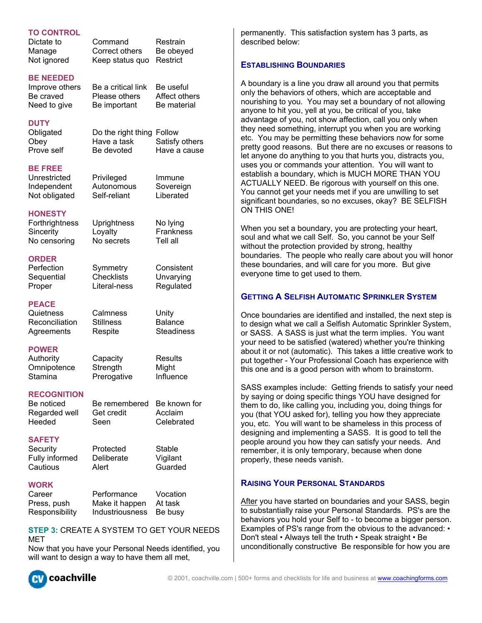## **TO CONTROL**

Dictate to Command Restrain Manage **Correct others** Be obeyed Not ignored Keep status quo Restrict

## **BE NEEDED**

Improve others Be a critical link Be useful

Be craved Please others Affect others Need to give Be important Be material

**DUTY** 

Obligated Do the right thing Follow Obey **Have a task** Satisfy others Prove self Be devoted Have a cause

#### **BE FREE**

Unrestricted Privileged Immune

Independent Autonomous Sovereign Not obligated Self-reliant Liberated

#### **HONESTY**

Forthrightness Uprightness No lying Sincerity **Loyalty Frankness** No censoring No secrets Tell all

**ORDER**

Sequential Checklists Unvarying

**PEACE**

Proper Literal-ness Regulated

Perfection Symmetry Consistent

Quietness Calmness Unity Reconciliation Stillness Balance Agreements Respite Steadiness

#### **POWER**

Authority Capacity Results Omnipotence Strength Might Stamina Prerogative Influence

#### **RECOGNITION**

Be noticed Be remembered Be known for Regarded well Get credit **Acclaim** Heeded Seen Celebrated

#### **SAFETY**

Security **Protected** Stable Fully informed Deliberate Vigilant Cautious Alert Guarded

**WORK**

| Career         | Performance     | Vocation |
|----------------|-----------------|----------|
| Press, push    | Make it happen  | At task  |
| Responsibility | Industriousness | Be busy  |

**STEP 3:** CREATE A SYSTEM TO GET YOUR NEEDS MET

Now that you have your Personal Needs identified, you will want to design a way to have them all met,



coachville  $\odot$  2001, coachville.com | 500+ forms and checklists for life and business at www.coachingforms.com

permanently. This satisfaction system has 3 parts, as described below:

### **ESTABLISHING BOUNDARIES**

A boundary is a line you draw all around you that permits only the behaviors of others, which are acceptable and nourishing to you. You may set a boundary of not allowing anyone to hit you, yell at you, be critical of you, take advantage of you, not show affection, call you only when they need something, interrupt you when you are working etc. You may be permitting these behaviors now for some pretty good reasons. But there are no excuses or reasons to let anyone do anything to you that hurts you, distracts you, uses you or commands your attention. You will want to establish a boundary, which is MUCH MORE THAN YOU ACTUALLY NEED. Be rigorous with yourself on this one. You cannot get your needs met if you are unwilling to set significant boundaries, so no excuses, okay? BE SELFISH ON THIS ONE!

When you set a boundary, you are protecting your heart, soul and what we call Self. So, you cannot be your Self without the protection provided by strong, healthy boundaries. The people who really care about you will honor these boundaries, and will care for you more. But give everyone time to get used to them.

#### **GETTING A SELFISH AUTOMATIC SPRINKLER SYSTEM**

Once boundaries are identified and installed, the next step is to design what we call a Selfish Automatic Sprinkler System, or SASS. A SASS is just what the term implies. You want your need to be satisfied (watered) whether you're thinking about it or not (automatic). This takes a little creative work to put together - Your Professional Coach has experience with this one and is a good person with whom to brainstorm.

SASS examples include: Getting friends to satisfy your need by saying or doing specific things YOU have designed for them to do, like calling you, including you, doing things for you (that YOU asked for), telling you how they appreciate you, etc. You will want to be shameless in this process of designing and implementing a SASS. It is good to tell the people around you how they can satisfy your needs. And remember, it is only temporary, because when done properly, these needs vanish.

## **RAISING YOUR PERSONAL STANDARDS**

After you have started on boundaries and your SASS, begin to substantially raise your Personal Standards. PS's are the behaviors you hold your Self to - to become a bigger person. Examples of PS's range from the obvious to the advanced: • Don't steal • Always tell the truth • Speak straight • Be unconditionally constructive Be responsible for how you are